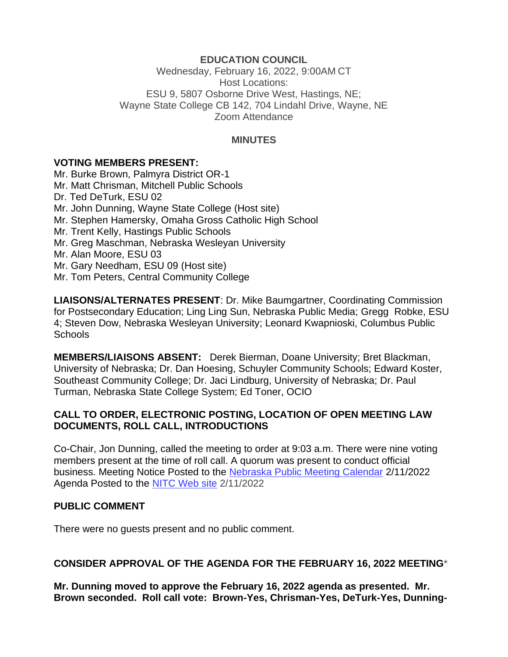### **EDUCATION COUNCIL**

Wednesday, February 16, 2022, 9:00AM CT Host Locations: ESU 9, 5807 Osborne Drive West, Hastings, NE; Wayne State College CB 142, 704 Lindahl Drive, Wayne, NE Zoom Attendance

#### **MINUTES**

#### **VOTING MEMBERS PRESENT:**

Mr. Burke Brown, Palmyra District OR-1 Mr. Matt Chrisman, Mitchell Public Schools Dr. Ted DeTurk, ESU 02 Mr. John Dunning, Wayne State College (Host site) Mr. Stephen Hamersky, Omaha Gross Catholic High School Mr. Trent Kelly, Hastings Public Schools Mr. Greg Maschman, Nebraska Wesleyan University Mr. Alan Moore, ESU 03 Mr. Gary Needham, ESU 09 (Host site) Mr. Tom Peters, Central Community College

**LIAISONS/ALTERNATES PRESENT**: Dr. Mike Baumgartner, Coordinating Commission for Postsecondary Education; Ling Ling Sun, Nebraska Public Media; Gregg Robke, ESU 4; Steven Dow, Nebraska Wesleyan University; Leonard Kwapnioski, Columbus Public Schools

**MEMBERS/LIAISONS ABSENT:** Derek Bierman, Doane University; Bret Blackman, University of Nebraska; Dr. Dan Hoesing, Schuyler Community Schools; Edward Koster, Southeast Community College; Dr. Jaci Lindburg, University of Nebraska; Dr. Paul Turman, Nebraska State College System; Ed Toner, OCIO

#### **CALL TO ORDER, ELECTRONIC POSTING, LOCATION OF OPEN MEETING LAW DOCUMENTS, ROLL CALL, INTRODUCTIONS**

Co-Chair, Jon Dunning, called the meeting to order at 9:03 a.m. There were nine voting members present at the time of roll call. A quorum was present to conduct official business. Meeting Notice Posted to the [Nebraska Public Meeting Calendar](https://www.nebraska.gov/calendar/index.cgi) 2/11/2022 Agenda Posted to the [NITC Web site](http://www.nitc.ne.gov/) 2/11/2022

#### **PUBLIC COMMENT**

There were no guests present and no public comment.

#### **CONSIDER APPROVAL OF THE AGENDA FOR THE FEBRUARY 16, 2022 MEETING**\*

**Mr. Dunning moved to approve the February 16, 2022 agenda as presented. Mr. Brown seconded. Roll call vote: Brown-Yes, Chrisman-Yes, DeTurk-Yes, Dunning-**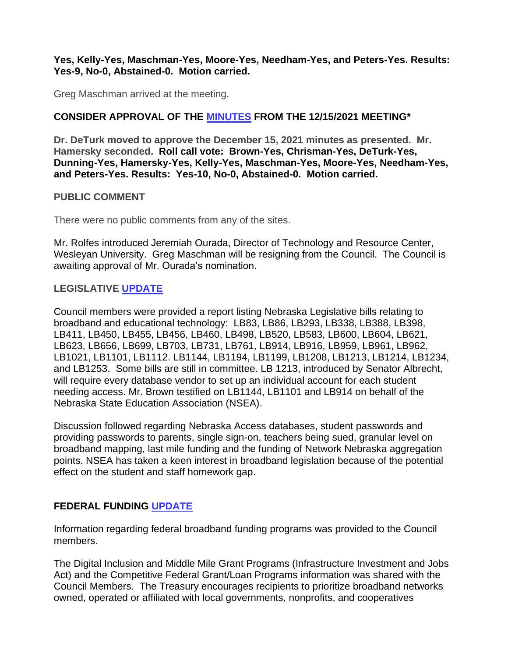#### **Yes, Kelly-Yes, Maschman-Yes, Moore-Yes, Needham-Yes, and Peters-Yes. Results: Yes-9, No-0, Abstained-0. Motion carried.**

Greg Maschman arrived at the meeting.

# **CONSIDER APPROVAL OF THE [MINUTES](https://nitc.nebraska.gov/education_council/meetings/minutes/12-15-2021.pdf) FROM THE 12/15/2021 MEETING\***

**Dr. DeTurk moved to approve the December 15, 2021 minutes as presented. Mr. Hamersky seconded. Roll call vote: Brown-Yes, Chrisman-Yes, DeTurk-Yes, Dunning-Yes, Hamersky-Yes, Kelly-Yes, Maschman-Yes, Moore-Yes, Needham-Yes, and Peters-Yes. Results: Yes-10, No-0, Abstained-0. Motion carried.**

## **PUBLIC COMMENT**

There were no public comments from any of the sites.

Mr. Rolfes introduced Jeremiah Ourada, Director of Technology and Resource Center, Wesleyan University. Greg Maschman will be resigning from the Council. The Council is awaiting approval of Mr. Ourada's nomination.

## **LEGISLATIVE [UPDATE](https://nitc.nebraska.gov/state_gov_council/legislation_web.pdf)**

Council members were provided a report listing Nebraska Legislative bills relating to broadband and educational technology: LB83, LB86, LB293, LB338, LB388, LB398, LB411, LB450, LB455, LB456, LB460, LB498, LB520, LB583, LB600, LB604, LB621, LB623, LB656, LB699, LB703, LB731, LB761, LB914, LB916, LB959, LB961, LB962, LB1021, LB1101, LB1112. LB1144, LB1194, LB1199, LB1208, LB1213, LB1214, LB1234, and LB1253. Some bills are still in committee. LB 1213, introduced by Senator Albrecht, will require every database vendor to set up an individual account for each student needing access. Mr. Brown testified on LB1144, LB1101 and LB914 on behalf of the Nebraska State Education Association (NSEA).

Discussion followed regarding Nebraska Access databases, student passwords and providing passwords to parents, single sign-on, teachers being sued, granular level on broadband mapping, last mile funding and the funding of Network Nebraska aggregation points. NSEA has taken a keen interest in broadband legislation because of the potential effect on the student and staff homework gap.

# **FEDERAL FUNDING [UPDATE](https://nitc.nebraska.gov/education_council/meetings/documents/2021.12.15/FederalFundingOverview.pdf)**

Information regarding federal broadband funding programs was provided to the Council members.

The Digital Inclusion and Middle Mile Grant Programs (Infrastructure Investment and Jobs Act) and the Competitive Federal Grant/Loan Programs information was shared with the Council Members. The Treasury encourages recipients to prioritize broadband networks owned, operated or affiliated with local governments, nonprofits, and cooperatives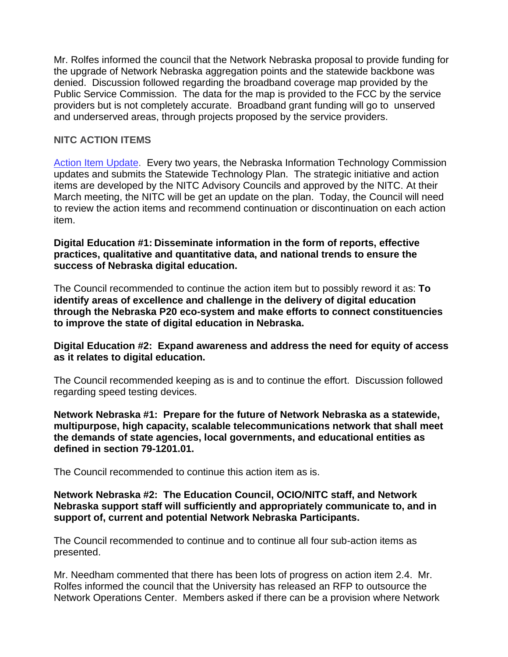Mr. Rolfes informed the council that the Network Nebraska proposal to provide funding for the upgrade of Network Nebraska aggregation points and the statewide backbone was denied. Discussion followed regarding the broadband coverage map provided by the Public Service Commission. The data for the map is provided to the FCC by the service providers but is not completely accurate. Broadband grant funding will go to unserved and underserved areas, through projects proposed by the service providers.

### **NITC ACTION ITEMS**

[Action Item Update.](https://nitc.nebraska.gov/education_council/meetings/documents/2022.02.16/2022-23_DigEd_NetNeb_ActionItems_20220211.pdf) Every two years, the Nebraska Information Technology Commission updates and submits the Statewide Technology Plan. The strategic initiative and action items are developed by the NITC Advisory Councils and approved by the NITC. At their March meeting, the NITC will be get an update on the plan. Today, the Council will need to review the action items and recommend continuation or discontinuation on each action item.

**Digital Education #1: Disseminate information in the form of reports, effective practices, qualitative and quantitative data, and national trends to ensure the success of Nebraska digital education.**

The Council recommended to continue the action item but to possibly reword it as: **To identify areas of excellence and challenge in the delivery of digital education through the Nebraska P20 eco-system and make efforts to connect constituencies to improve the state of digital education in Nebraska.**

#### **Digital Education #2: Expand awareness and address the need for equity of access as it relates to digital education.**

The Council recommended keeping as is and to continue the effort. Discussion followed regarding speed testing devices.

**Network Nebraska #1: Prepare for the future of Network Nebraska as a statewide, multipurpose, high capacity, scalable telecommunications network that shall meet the demands of state agencies, local governments, and educational entities as defined in section 79-1201.01.**

The Council recommended to continue this action item as is.

#### **Network Nebraska #2: The Education Council, OCIO/NITC staff, and Network Nebraska support staff will sufficiently and appropriately communicate to, and in support of, current and potential Network Nebraska Participants.**

The Council recommended to continue and to continue all four sub-action items as presented.

Mr. Needham commented that there has been lots of progress on action item 2.4. Mr. Rolfes informed the council that the University has released an RFP to outsource the Network Operations Center. Members asked if there can be a provision where Network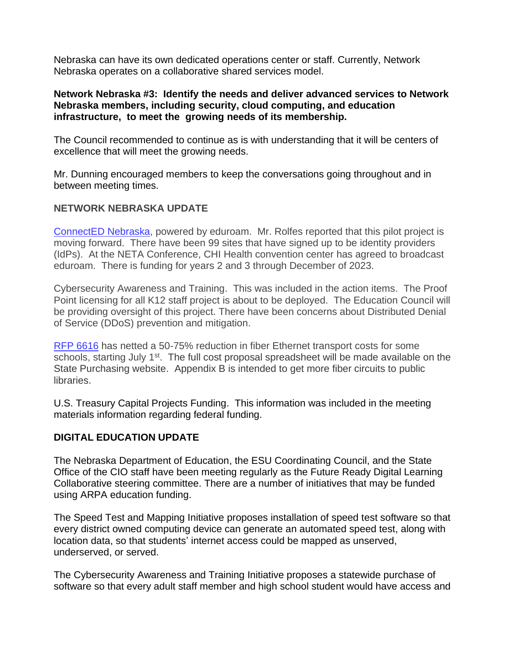Nebraska can have its own dedicated operations center or staff. Currently, Network Nebraska operates on a collaborative shared services model.

#### **Network Nebraska #3: Identify the needs and deliver advanced services to Network Nebraska members, including security, cloud computing, and education infrastructure, to meet the growing needs of its membership.**

The Council recommended to continue as is with understanding that it will be centers of excellence that will meet the growing needs.

Mr. Dunning encouraged members to keep the conversations going throughout and in between meeting times.

### **NETWORK NEBRASKA UPDATE**

[ConnectED Nebraska,](https://connectednebraska.com/) powered by eduroam. Mr. Rolfes reported that this pilot project is moving forward. There have been 99 sites that have signed up to be identity providers (IdPs). At the NETA Conference, CHI Health convention center has agreed to broadcast eduroam. There is funding for years 2 and 3 through December of 2023.

Cybersecurity Awareness and Training. This was included in the action items. The Proof Point licensing for all K12 staff project is about to be deployed. The Education Council will be providing oversight of this project. There have been concerns about Distributed Denial of Service (DDoS) prevention and mitigation.

RFP [6616](https://das.nebraska.gov/materiel/purchasing/6616/6616.html) has netted a 50-75% reduction in fiber Ethernet transport costs for some schools, starting July 1<sup>st</sup>. The full cost proposal spreadsheet will be made available on the State Purchasing website. Appendix B is intended to get more fiber circuits to public libraries.

U.S. Treasury Capital Projects Funding. This information was included in the meeting materials information regarding federal funding.

## **DIGITAL EDUCATION UPDATE**

The Nebraska Department of Education, the ESU Coordinating Council, and the State Office of the CIO staff have been meeting regularly as the Future Ready Digital Learning Collaborative steering committee. There are a number of initiatives that may be funded using ARPA education funding.

The Speed Test and Mapping Initiative proposes installation of speed test software so that every district owned computing device can generate an automated speed test, along with location data, so that students' internet access could be mapped as unserved, underserved, or served.

The Cybersecurity Awareness and Training Initiative proposes a statewide purchase of software so that every adult staff member and high school student would have access and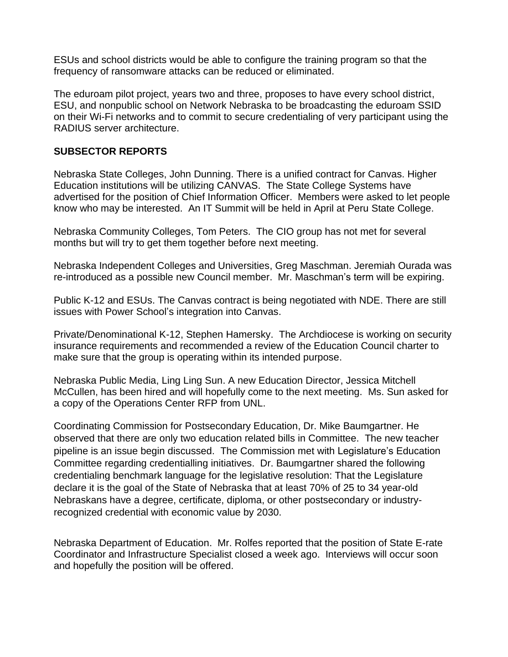ESUs and school districts would be able to configure the training program so that the frequency of ransomware attacks can be reduced or eliminated.

The eduroam pilot project, years two and three, proposes to have every school district, ESU, and nonpublic school on Network Nebraska to be broadcasting the eduroam SSID on their Wi-Fi networks and to commit to secure credentialing of very participant using the RADIUS server architecture.

### **SUBSECTOR REPORTS**

Nebraska State Colleges, John Dunning. There is a unified contract for Canvas. Higher Education institutions will be utilizing CANVAS. The State College Systems have advertised for the position of Chief Information Officer. Members were asked to let people know who may be interested. An IT Summit will be held in April at Peru State College.

Nebraska Community Colleges, Tom Peters. The CIO group has not met for several months but will try to get them together before next meeting.

Nebraska Independent Colleges and Universities, Greg Maschman. Jeremiah Ourada was re-introduced as a possible new Council member. Mr. Maschman's term will be expiring.

Public K-12 and ESUs. The Canvas contract is being negotiated with NDE. There are still issues with Power School's integration into Canvas.

Private/Denominational K-12, Stephen Hamersky. The Archdiocese is working on security insurance requirements and recommended a review of the Education Council charter to make sure that the group is operating within its intended purpose.

Nebraska Public Media, Ling Ling Sun. A new Education Director, Jessica Mitchell McCullen, has been hired and will hopefully come to the next meeting. Ms. Sun asked for a copy of the Operations Center RFP from UNL.

Coordinating Commission for Postsecondary Education, Dr. Mike Baumgartner. He observed that there are only two education related bills in Committee. The new teacher pipeline is an issue begin discussed. The Commission met with Legislature's Education Committee regarding credentialling initiatives. Dr. Baumgartner shared the following credentialing benchmark language for the legislative resolution: That the Legislature declare it is the goal of the State of Nebraska that at least 70% of 25 to 34 year-old Nebraskans have a degree, certificate, diploma, or other postsecondary or industryrecognized credential with economic value by 2030.

Nebraska Department of Education. Mr. Rolfes reported that the position of State E-rate Coordinator and Infrastructure Specialist closed a week ago. Interviews will occur soon and hopefully the position will be offered.